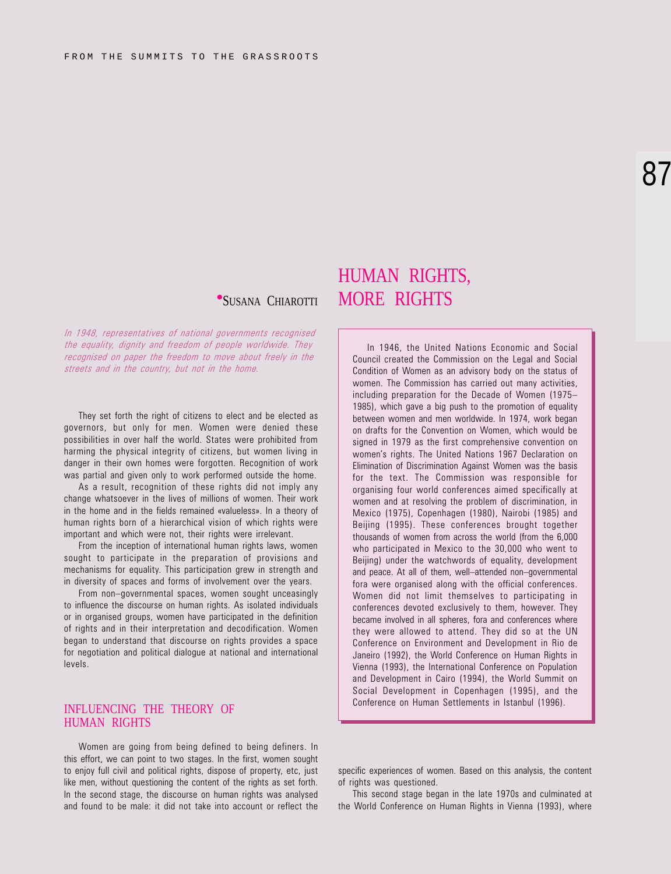# 87

In 1948, representatives of national governments recognised the equality, dignity and freedom of people worldwide. They recognised on paper the freedom to move about freely in the streets and in the country, but not in the home.

They set forth the right of citizens to elect and be elected as governors, but only for men. Women were denied these possibilities in over half the world. States were prohibited from harming the physical integrity of citizens, but women living in danger in their own homes were forgotten. Recognition of work was partial and given only to work performed outside the home.

As a result, recognition of these rights did not imply any change whatsoever in the lives of millions of women. Their work in the home and in the fields remained «valueless». In a theory of human rights born of a hierarchical vision of which rights were important and which were not, their rights were irrelevant.

From the inception of international human rights laws, women sought to participate in the preparation of provisions and mechanisms for equality. This participation grew in strength and in diversity of spaces and forms of involvement over the years.

From non-governmental spaces, women sought unceasingly to influence the discourse on human rights. As isolated individuals or in organised groups, women have participated in the definition of rights and in their interpretation and decodification. Women began to understand that discourse on rights provides a space for negotiation and political dialogue at national and international levels.

### INFLUENCING THE THEORY OF HUMAN RIGHTS

Women are going from being defined to being definers. In this effort, we can point to two stages. In the first, women sought to enjoy full civil and political rights, dispose of property, etc, just like men, without questioning the content of the rights as set forth. In the second stage, the discourse on human rights was analysed and found to be male: it did not take into account or reflect the

## HUMAN RIGHTS, **SUSANA CHIAROTTI MORE RIGHTS**

In 1946, the United Nations Economic and Social Council created the Commission on the Legal and Social Condition of Women as an advisory body on the status of women. The Commission has carried out many activities, including preparation for the Decade of Women (1975 1985), which gave a big push to the promotion of equality between women and men worldwide. In 1974, work began on drafts for the Convention on Women, which would be signed in 1979 as the first comprehensive convention on women's rights. The United Nations 1967 Declaration on Elimination of Discrimination Against Women was the basis for the text. The Commission was responsible for organising four world conferences aimed specifically at women and at resolving the problem of discrimination, in Mexico (1975), Copenhagen (1980), Nairobi (1985) and Beijing (1995). These conferences brought together thousands of women from across the world (from the 6,000 who participated in Mexico to the 30,000 who went to Beijing) under the watchwords of equality, development and peace. At all of them, well-attended non-governmental fora were organised along with the official conferences. Women did not limit themselves to participating in conferences devoted exclusively to them, however. They became involved in all spheres, fora and conferences where they were allowed to attend. They did so at the UN Conference on Environment and Development in Rio de Janeiro (1992), the World Conference on Human Rights in Vienna (1993), the International Conference on Population and Development in Cairo (1994), the World Summit on Social Development in Copenhagen (1995), and the Conference on Human Settlements in Istanbul (1996).

specific experiences of women. Based on this analysis, the content of rights was questioned.

This second stage began in the late 1970s and culminated at the World Conference on Human Rights in Vienna (1993), where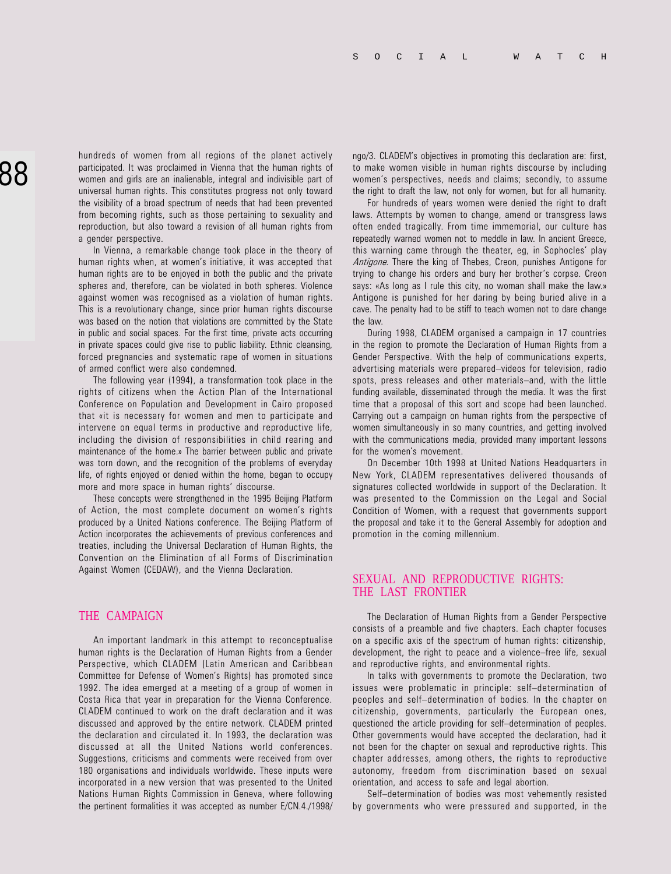hundreds of women from all regions of the planet actively participated. It was proclaimed in Vienna that the human rights of women and girls are an inalienable, integral and indivisible part of universal human rights. This constitutes progress not only toward the visibility of a broad spectrum of needs that had been prevented from becoming rights, such as those pertaining to sexuality and reproduction, but also toward a revision of all human rights from a gender perspective.

In Vienna, a remarkable change took place in the theory of human rights when, at women's initiative, it was accepted that human rights are to be enjoyed in both the public and the private spheres and, therefore, can be violated in both spheres. Violence against women was recognised as a violation of human rights. This is a revolutionary change, since prior human rights discourse was based on the notion that violations are committed by the State in public and social spaces. For the first time, private acts occurring in private spaces could give rise to public liability. Ethnic cleansing, forced pregnancies and systematic rape of women in situations of armed conflict were also condemned.

The following year (1994), a transformation took place in the rights of citizens when the Action Plan of the International Conference on Population and Development in Cairo proposed that «it is necessary for women and men to participate and intervene on equal terms in productive and reproductive life, including the division of responsibilities in child rearing and maintenance of the home.» The barrier between public and private was torn down, and the recognition of the problems of everyday life, of rights enjoyed or denied within the home, began to occupy more and more space in human rights' discourse.

These concepts were strengthened in the 1995 Beijing Platform of Action, the most complete document on women's rights produced by a United Nations conference. The Beijing Platform of Action incorporates the achievements of previous conferences and treaties, including the Universal Declaration of Human Rights, the Convention on the Elimination of all Forms of Discrimination Against Women (CEDAW), and the Vienna Declaration.

### THE CAMPAIGN

An important landmark in this attempt to reconceptualise human rights is the Declaration of Human Rights from a Gender Perspective, which CLADEM (Latin American and Caribbean Committee for Defense of Women's Rights) has promoted since 1992. The idea emerged at a meeting of a group of women in Costa Rica that year in preparation for the Vienna Conference. CLADEM continued to work on the draft declaration and it was discussed and approved by the entire network. CLADEM printed the declaration and circulated it. In 1993, the declaration was discussed at all the United Nations world conferences. Suggestions, criticisms and comments were received from over 180 organisations and individuals worldwide. These inputs were incorporated in a new version that was presented to the United Nations Human Rights Commission in Geneva, where following the pertinent formalities it was accepted as number E/CN.4./1998/ ngo/3. CLADEM's objectives in promoting this declaration are: first, to make women visible in human rights discourse by including women's perspectives, needs and claims; secondly, to assume the right to draft the law, not only for women, but for all humanity.

For hundreds of years women were denied the right to draft laws. Attempts by women to change, amend or transgress laws often ended tragically. From time immemorial, our culture has repeatedly warned women not to meddle in law. In ancient Greece, this warning came through the theater, eg, in Sophocles' play Antigone. There the king of Thebes, Creon, punishes Antigone for trying to change his orders and bury her brother's corpse. Creon says: «As long as I rule this city, no woman shall make the law.» Antigone is punished for her daring by being buried alive in a cave. The penalty had to be stiff to teach women not to dare change the law.

During 1998, CLADEM organised a campaign in 17 countries in the region to promote the Declaration of Human Rights from a Gender Perspective. With the help of communications experts, advertising materials were prepared-videos for television, radio spots, press releases and other materials-and, with the little funding available, disseminated through the media. It was the first time that a proposal of this sort and scope had been launched. Carrying out a campaign on human rights from the perspective of women simultaneously in so many countries, and getting involved with the communications media, provided many important lessons for the women's movement.

On December 10th 1998 at United Nations Headquarters in New York, CLADEM representatives delivered thousands of signatures collected worldwide in support of the Declaration. It was presented to the Commission on the Legal and Social Condition of Women, with a request that governments support the proposal and take it to the General Assembly for adoption and promotion in the coming millennium.

### SEXUAL AND REPRODUCTIVE RIGHTS: THE LAST FRONTIER

The Declaration of Human Rights from a Gender Perspective consists of a preamble and five chapters. Each chapter focuses on a specific axis of the spectrum of human rights: citizenship, development, the right to peace and a violence–free life, sexual and reproductive rights, and environmental rights.

In talks with governments to promote the Declaration, two issues were problematic in principle: self-determination of peoples and self-determination of bodies. In the chapter on citizenship, governments, particularly the European ones, questioned the article providing for self-determination of peoples. Other governments would have accepted the declaration, had it not been for the chapter on sexual and reproductive rights. This chapter addresses, among others, the rights to reproductive autonomy, freedom from discrimination based on sexual orientation, and access to safe and legal abortion.

Self-determination of bodies was most vehemently resisted by governments who were pressured and supported, in the